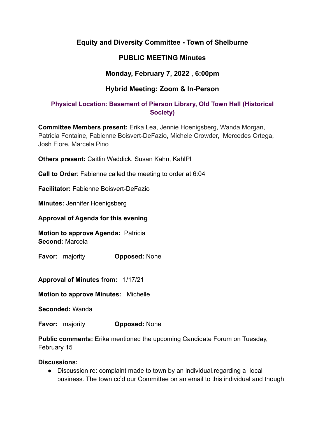# **Equity and Diversity Committee - Town of Shelburne**

# **PUBLIC MEETING Minutes**

# **Monday, February 7, 2022 , 6:00pm**

# **Hybrid Meeting: Zoom & In-Person**

## **Physical Location: Basement of Pierson Library, Old Town Hall (Historical Society)**

**Committee Members present:** Erika Lea, Jennie Hoenigsberg, Wanda Morgan, Patricia Fontaine, Fabienne Boisvert-DeFazio, Michele Crowder, Mercedes Ortega, Josh Flore, Marcela Pino

**Others present:** Caitlin Waddick, Susan Kahn, KahlPl

**Call to Order**: Fabienne called the meeting to order at 6:04

**Facilitator:** Fabienne Boisvert-DeFazio

**Minutes:** Jennifer Hoenigsberg

**Approval of Agenda for this evening**

**Motion to approve Agenda:** Patricia **Second:** Marcela

**Favor:** majority **Opposed:** None

**Approval of Minutes from:** 1/17/21

**Motion to approve Minutes:** Michelle

**Seconded:** Wanda

**Favor:** majority **Opposed:** None

**Public comments:** Erika mentioned the upcoming Candidate Forum on Tuesday, February 15

### **Discussions:**

● Discussion re: complaint made to town by an individual.regarding a local business. The town cc'd our Committee on an email to this individual and though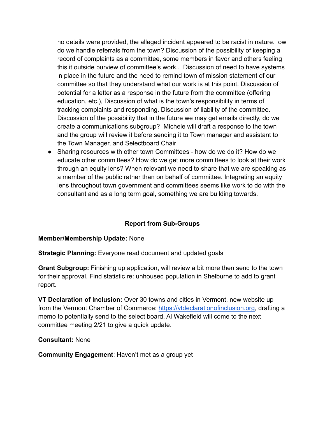no details were provided, the alleged incident appeared to be racist in nature. ow do we handle referrals from the town? Discussion of the possibility of keeping a record of complaints as a committee, some members in favor and others feeling this it outside purview of committee's work.. Discussion of need to have systems in place in the future and the need to remind town of mission statement of our committee so that they understand what our work is at this point. Discussion of potential for a letter as a response in the future from the committee (offering education, etc.), Discussion of what is the town's responsibility in terms of tracking complaints and responding. Discussion of liability of the committee. Discussion of the possibility that in the future we may get emails directly, do we create a communications subgroup? Michele will draft a response to the town and the group will review it before sending it to Town manager and assistant to the Town Manager, and Selectboard Chair

● Sharing resources with other town Committees - how do we do it? How do we educate other committees? How do we get more committees to look at their work through an equity lens? When relevant we need to share that we are speaking as a member of the public rather than on behalf of committee. Integrating an equity lens throughout town government and committees seems like work to do with the consultant and as a long term goal, something we are building towards.

### **Report from Sub-Groups**

### **Member/Membership Update:** None

**Strategic Planning:** Everyone read document and updated goals

**Grant Subgroup:** Finishing up application, will review a bit more then send to the town for their approval. Find statistic re: unhoused population in Shelburne to add to grant report.

**VT Declaration of Inclusion:** Over 30 towns and cities in Vermont, new website up from the Vermont Chamber of Commerce: <https://vtdeclarationofinclusion.org>, drafting a memo to potentially send to the select board. Al Wakefield will come to the next committee meeting 2/21 to give a quick update.

### **Consultant:** None

**Community Engagement**: Haven't met as a group yet